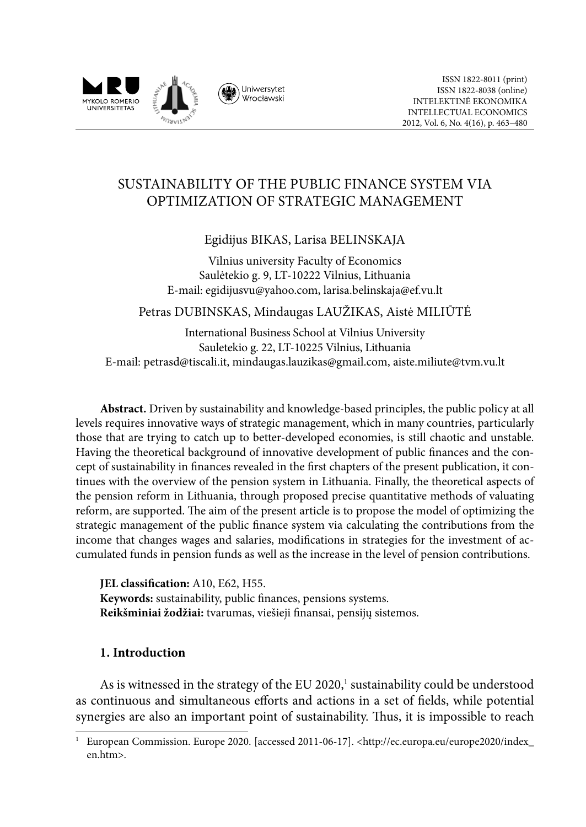

# SUSTAINABILITY OF THE PUBLIC FINANCE SYSTEM VIA OPTIMIZATION OF STRATEGIC MANAGEMENT

Egidijus BIKAS, Larisa BELINSKAJA

Vilnius university Faculty of Economics Saulėtekio g. 9, LT-10222 Vilnius, Lithuania E-mail: [egidijusvu@yahoo.com,](mailto:egidijusvu@yahoo.com) larisa.belinskaja@ef.vu.lt

Petras DUBINSKAS, Mindaugas LAUŽIKAS, Aistė MILIŪTĖ

International Business School at Vilnius University Sauletekio g. 22, LT-10225 Vilnius, Lithuania E-mail: [petrasd@tiscali.it,](mailto:petrasd@tiscali.it) mindaugas.lauzikas@gmail.com, aiste.miliute@tvm.vu.lt

**Abstract.** Driven by sustainability and knowledge-based principles, the public policy at all levels requires innovative ways of strategic management, which in many countries, particularly those that are trying to catch up to better-developed economies, is still chaotic and unstable. Having the theoretical background of innovative development of public finances and the concept of sustainability in finances revealed in the first chapters of the present publication, it continues with the overview of the pension system in Lithuania. Finally, the theoretical aspects of the pension reform in Lithuania, through proposed precise quantitative methods of valuating reform, are supported. The aim of the present article is to propose the model of optimizing the strategic management of the public finance system via calculating the contributions from the income that changes wages and salaries, modifications in strategies for the investment of accumulated funds in pension funds as well as the increase in the level of pension contributions.

**JEL classification:** A10, E62, H55. **Keywords:** sustainability, public finances, pensions systems. **Reikšminiai žodžiai:** tvarumas, viešieji finansai, pensijų sistemos.

## **1. Introduction**

As is witnessed in the strategy of the EU 2020,<sup>1</sup> sustainability could be understood as continuous and simultaneous efforts and actions in a set of fields, while potential synergies are also an important point of sustainability. Thus, it is impossible to reach

<sup>1</sup> European Commission. Europe 2020. [accessed 2011-06-17]. <http://ec.europa.eu/europe2020/index\_ en.htm>.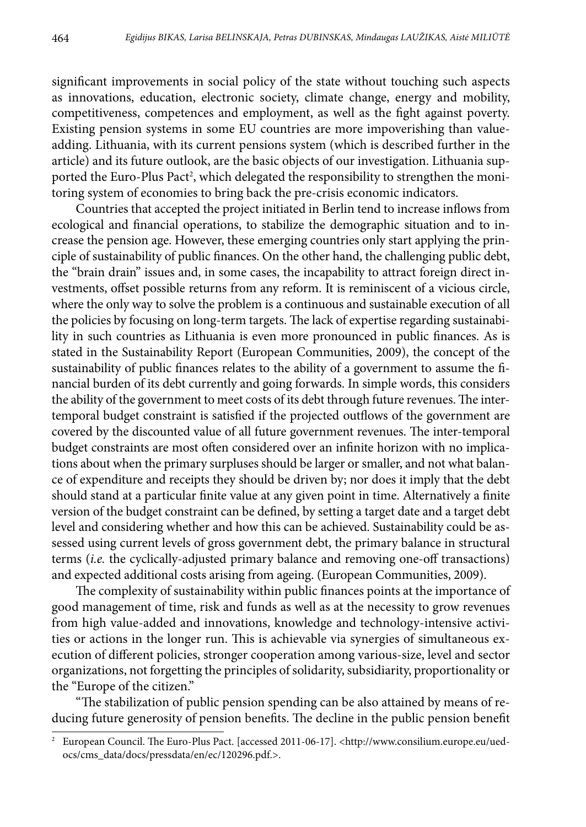significant improvements in social policy of the state without touching such aspects as innovations, education, electronic society, climate change, energy and mobility, competitiveness, competences and employment, as well as the fight against poverty. Existing pension systems in some EU countries are more impoverishing than valueadding. Lithuania, with its current pensions system (which is described further in the article) and its future outlook, are the basic objects of our investigation. Lithuania supported the Euro-Plus Pact<sup>2</sup>, which delegated the responsibility to strengthen the monitoring system of economies to bring back the pre-crisis economic indicators.

Countries that accepted the project initiated in Berlin tend to increase inflows from ecological and financial operations, to stabilize the demographic situation and to increase the pension age. However, these emerging countries only start applying the principle of sustainability of public finances. On the other hand, the challenging public debt, the "brain drain" issues and, in some cases, the incapability to attract foreign direct investments, offset possible returns from any reform. It is reminiscent of a vicious circle, where the only way to solve the problem is a continuous and sustainable execution of all the policies by focusing on long-term targets. The lack of expertise regarding sustainability in such countries as Lithuania is even more pronounced in public finances. As is stated in the Sustainability Report (European Communities, 2009), the concept of the sustainability of public finances relates to the ability of a government to assume the financial burden of its debt currently and going forwards. In simple words, this considers the ability of the government to meet costs of its debt through future revenues. The intertemporal budget constraint is satisfied if the projected outflows of the government are covered by the discounted value of all future government revenues. The inter-temporal budget constraints are most often considered over an infinite horizon with no implications about when the primary surpluses should be larger or smaller, and not what balance of expenditure and receipts they should be driven by; nor does it imply that the debt should stand at a particular finite value at any given point in time. Alternatively a finite version of the budget constraint can be defined, by setting a target date and a target debt level and considering whether and how this can be achieved. Sustainability could be assessed using current levels of gross government debt, the primary balance in structural terms (*i.e.* the cyclically-adjusted primary balance and removing one-off transactions) and expected additional costs arising from ageing. (European Communities, 2009).

The complexity of sustainability within public finances points at the importance of good management of time, risk and funds as well as at the necessity to grow revenues from high value-added and innovations, knowledge and technology-intensive activities or actions in the longer run. This is achievable via synergies of simultaneous execution of different policies, stronger cooperation among various-size, level and sector organizations, not forgetting the principles of solidarity, subsidiarity, proportionality or the "Europe of the citizen."

"The stabilization of public pension spending can be also attained by means of reducing future generosity of pension benefits. The decline in the public pension benefit

<sup>&</sup>lt;sup>2</sup> European Council. The Euro-Plus Pact. [accessed 2011-06-17]. <http://www.consilium.europe.eu/uedocs/cms\_data/docs/pressdata/en/ec/120296.pdf.>.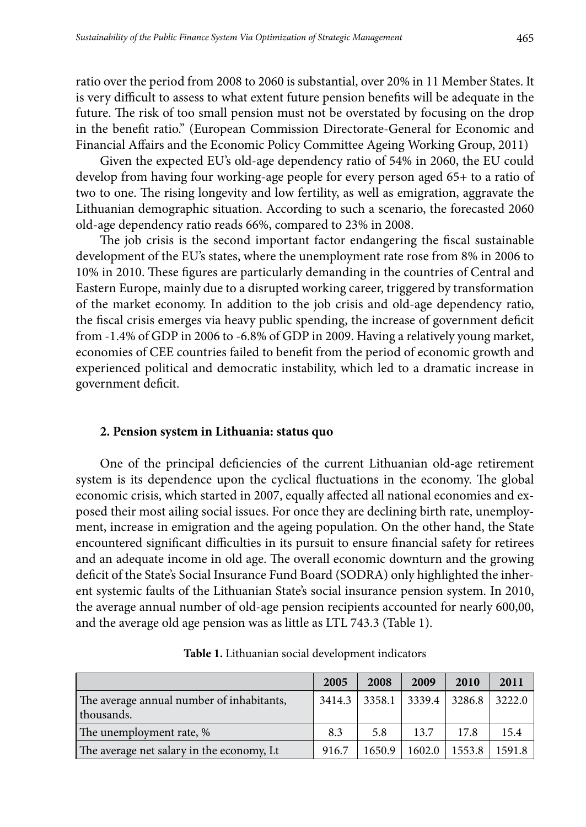ratio over the period from 2008 to 2060 is substantial, over 20% in 11 Member States. It is very difficult to assess to what extent future pension benefits will be adequate in the future. The risk of too small pension must not be overstated by focusing on the drop in the benefit ratio." (European Commission Directorate-General for Economic and Financial Affairs and the Economic Policy Committee Ageing Working Group, 2011)

Given the expected EU's old-age dependency ratio of 54% in 2060, the EU could develop from having four working-age people for every person aged 65+ to a ratio of two to one. The rising longevity and low fertility, as well as emigration, aggravate the Lithuanian demographic situation. According to such a scenario, the forecasted 2060 old-age dependency ratio reads 66%, compared to 23% in 2008.

The job crisis is the second important factor endangering the fiscal sustainable development of the EU's states, where the unemployment rate rose from 8% in 2006 to 10% in 2010. These figures are particularly demanding in the countries of Central and Eastern Europe, mainly due to a disrupted working career, triggered by transformation of the market economy. In addition to the job crisis and old-age dependency ratio, the fiscal crisis emerges via heavy public spending, the increase of government deficit from -1.4% of GDP in 2006 to -6.8% of GDP in 2009. Having a relatively young market, economies of CEE countries failed to benefit from the period of economic growth and experienced political and democratic instability, which led to a dramatic increase in government deficit.

#### **2. Pension system in Lithuania: status quo**

One of the principal deficiencies of the current Lithuanian old-age retirement system is its dependence upon the cyclical fluctuations in the economy. The global economic crisis, which started in 2007, equally affected all national economies and exposed their most ailing social issues. For once they are declining birth rate, unemployment, increase in emigration and the ageing population. On the other hand, the State encountered significant difficulties in its pursuit to ensure financial safety for retirees and an adequate income in old age. The overall economic downturn and the growing deficit of the State's Social Insurance Fund Board (SODRA) only highlighted the inherent systemic faults of the Lithuanian State's social insurance pension system. In 2010, the average annual number of old-age pension recipients accounted for nearly 600,00, and the average old age pension was as little as LTL 743.3 (Table 1).

|                                                         | 2005   | 2008   | 2009   | 2010   | 2011   |
|---------------------------------------------------------|--------|--------|--------|--------|--------|
| The average annual number of inhabitants,<br>thousands. | 3414.3 | 3358.1 | 3339.4 | 3286.8 | 3222.0 |
| The unemployment rate, %                                | 8.3    | 5.8    | 13.7   | 17.8   | 15.4   |
| The average net salary in the economy, Lt               | 916.7  | 1650.9 | 1602.0 | 1553.8 | 1591.8 |

**Table 1.** Lithuanian social development indicators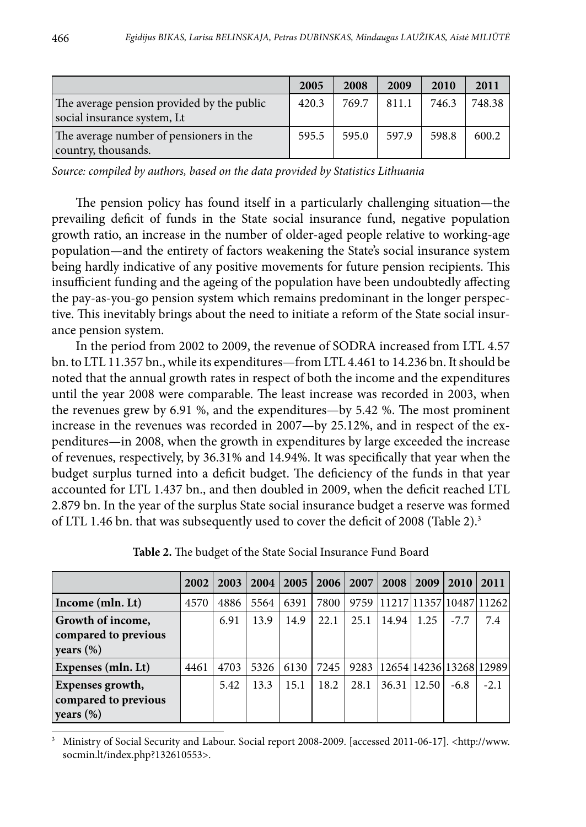|                                                                           | 2005  | 2008  | 2009  | 2010  | 2011   |
|---------------------------------------------------------------------------|-------|-------|-------|-------|--------|
| The average pension provided by the public<br>social insurance system, Lt | 420.3 | 769.7 | 811.1 | 746.3 | 748.38 |
| The average number of pensioners in the<br>country, thousands.            | 595.5 | 595.0 | 597.9 | 598.8 | 600.2  |

*Source: compiled by authors, based on the data provided by Statistics Lithuania*

The pension policy has found itself in a particularly challenging situation—the prevailing deficit of funds in the State social insurance fund, negative population growth ratio, an increase in the number of older-aged people relative to working-age population—and the entirety of factors weakening the State's social insurance system being hardly indicative of any positive movements for future pension recipients. This insufficient funding and the ageing of the population have been undoubtedly affecting the pay-as-you-go pension system which remains predominant in the longer perspective. This inevitably brings about the need to initiate a reform of the State social insurance pension system.

In the period from 2002 to 2009, the revenue of SODRA increased from LTL 4.57 bn. to LTL 11.357 bn., while its expenditures—from LTL 4.461 to 14.236 bn. It should be noted that the annual growth rates in respect of both the income and the expenditures until the year 2008 were comparable. The least increase was recorded in 2003, when the revenues grew by 6.91 %, and the expenditures—by 5.42 %. The most prominent increase in the revenues was recorded in 2007—by 25.12%, and in respect of the expenditures—in 2008, when the growth in expenditures by large exceeded the increase of revenues, respectively, by 36.31% and 14.94%. It was specifically that year when the budget surplus turned into a deficit budget. The deficiency of the funds in that year accounted for LTL 1.437 bn., and then doubled in 2009, when the deficit reached LTL 2.879 bn. In the year of the surplus State social insurance budget a reserve was formed of LTL 1.46 bn. that was subsequently used to cover the deficit of 2008 (Table 2).3

|                                                                          | 2002 | 2003 | 2004 | $2005 \perp$ | <b>2006</b> | 2007 | 2008  | 2009  | 2010   | 2011                                 |
|--------------------------------------------------------------------------|------|------|------|--------------|-------------|------|-------|-------|--------|--------------------------------------|
| Income (mln. Lt)                                                         | 4570 | 4886 | 5564 | 6391         | 7800        |      |       |       |        | 9759   11217   11357   10487   11262 |
| Growth of income,<br>compared to previous<br>$\vert$ years $(\%)$        |      | 6.91 | 13.9 | 14.9         | 22.1        | 25.1 | 14.94 | 1.25  | $-7.7$ | 7.4                                  |
| Expenses (mln. Lt)                                                       | 4461 | 4703 | 5326 | 6130         | 7245        |      |       |       |        | 9283   12654   14236   13268   12989 |
| <b>Expenses growth,</b><br>compared to previous<br>$\vert$ years $(\% )$ |      | 5.42 | 13.3 | 15.1         | 18.2        | 28.1 | 36.31 | 12.50 | $-6.8$ | $-2.1$                               |

**Table 2.** The budget of the State Social Insurance Fund Board

<sup>3</sup> Ministry of Social Security and Labour. Social report 2008-2009. [accessed 2011-06-17]. <http://www. socmin.lt/index.php?132610553>.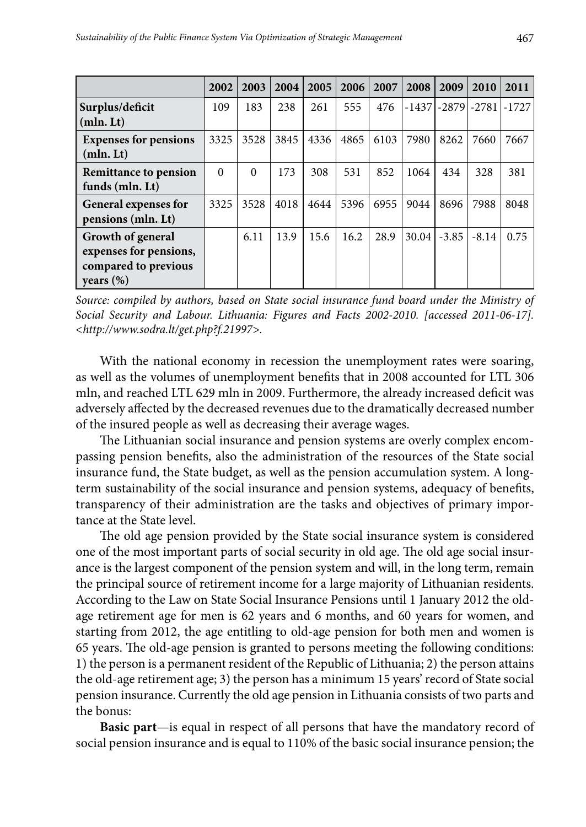|                                                                                     | 2002     | 2003     | 2004 | 2005 | 2006 | 2007 | 2008    | 2009    | 2010    | 2011    |
|-------------------------------------------------------------------------------------|----------|----------|------|------|------|------|---------|---------|---------|---------|
| Surplus/deficit<br>(mln. Lt)                                                        | 109      | 183      | 238  | 261  | 555  | 476  | $-1437$ | -2879   | -27811  | $-1727$ |
| <b>Expenses for pensions</b><br>(mln. Lt)                                           | 3325     | 3528     | 3845 | 4336 | 4865 | 6103 | 7980    | 8262    | 7660    | 7667    |
| <b>Remittance to pension</b><br>funds (mln. Lt)                                     | $\theta$ | $\Omega$ | 173  | 308  | 531  | 852  | 1064    | 434     | 328     | 381     |
| General expenses for<br>pensions (mln. Lt)                                          | 3325     | 3528     | 4018 | 4644 | 5396 | 6955 | 9044    | 8696    | 7988    | 8048    |
| Growth of general<br>expenses for pensions,<br>compared to previous<br>years $(\%)$ |          | 6.11     | 13.9 | 15.6 | 16.2 | 28.9 | 30.04   | $-3.85$ | $-8.14$ | 0.75    |

*Source: compiled by authors, based on State social insurance fund board under the Ministry of Social Security and Labour. Lithuania: Figures and Facts 2002-2010. [accessed 2011-06-17]. <http://www.sodra.lt/get.php?f.21997>.*

With the national economy in recession the unemployment rates were soaring, as well as the volumes of unemployment benefits that in 2008 accounted for LTL 306 mln, and reached LTL 629 mln in 2009. Furthermore, the already increased deficit was adversely affected by the decreased revenues due to the dramatically decreased number of the insured people as well as decreasing their average wages.

The Lithuanian social insurance and pension systems are overly complex encompassing pension benefits, also the administration of the resources of the State social insurance fund, the State budget, as well as the pension accumulation system. A longterm sustainability of the social insurance and pension systems, adequacy of benefits, transparency of their administration are the tasks and objectives of primary importance at the State level.

The old age pension provided by the State social insurance system is considered one of the most important parts of social security in old age. The old age social insurance is the largest component of the pension system and will, in the long term, remain the principal source of retirement income for a large majority of Lithuanian residents. According to the Law on State Social Insurance Pensions until 1 January 2012 the oldage retirement age for men is 62 years and 6 months, and 60 years for women, and starting from 2012, the age entitling to old-age pension for both men and women is 65 years. The old-age pension is granted to persons meeting the following conditions: 1) the person is a permanent resident of the Republic of Lithuania; 2) the person attains the old-age retirement age; 3) the person has a minimum 15 years' record of State social pension insurance. Currently the old age pension in Lithuania consists of two parts and the bonus:

**Basic part**—is equal in respect of all persons that have the mandatory record of social pension insurance and is equal to 110% of the basic social insurance pension; the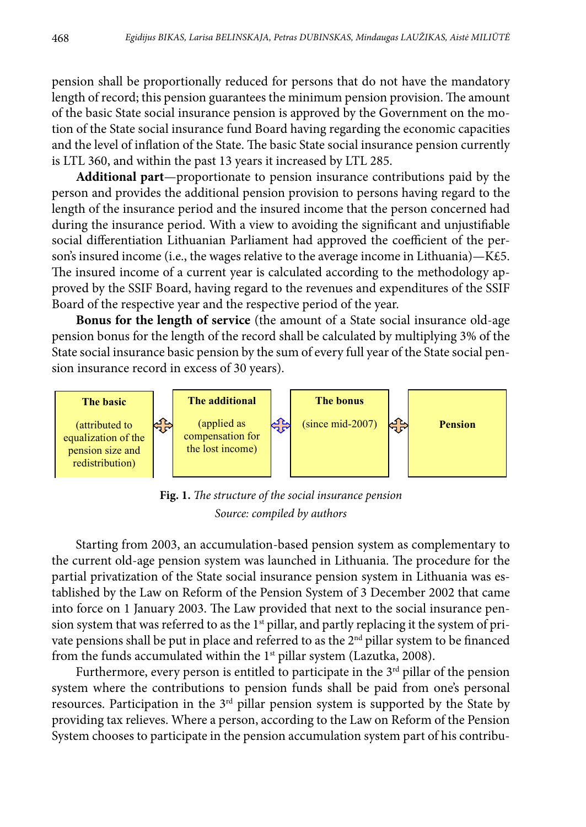pension shall be proportionally reduced for persons that do not have the mandatory length of record; this pension guarantees the minimum pension provision. The amount of the basic State social insurance pension is approved by the Government on the motion of the State social insurance fund Board having regarding the economic capacities and the level of inflation of the State. The basic State social insurance pension currently is LTL 360, and within the past 13 years it increased by LTL 285.

**Additional part**—proportionate to pension insurance contributions paid by the person and provides the additional pension provision to persons having regard to the length of the insurance period and the insured income that the person concerned had during the insurance period. With a view to avoiding the significant and unjustifiable social differentiation Lithuanian Parliament had approved the coefficient of the person's insured income (i.e., the wages relative to the average income in Lithuania)—K£5. The insured income of a current year is calculated according to the methodology approved by the SSIF Board, having regard to the revenues and expenditures of the SSIF Board of the respective year and the respective period of the year.

**Bonus for the length of service** (the amount of a State social insurance old-age pension bonus for the length of the record shall be calculated by multiplying 3% of the State social insurance basic pension by the sum of every full year of the State social pension insurance record in excess of 30 years).



 **Fig. 1.** *The structure of the social insurance pension Source: compiled by authors*

Starting from 2003, an accumulation-based pension system as complementary to the current old-age pension system was launched in Lithuania. The procedure for the partial privatization of the State social insurance pension system in Lithuania was established by the Law on Reform of the Pension System of 3 December 2002 that came into force on 1 January 2003. The Law provided that next to the social insurance pension system that was referred to as the 1<sup>st</sup> pillar, and partly replacing it the system of private pensions shall be put in place and referred to as the 2<sup>nd</sup> pillar system to be financed from the funds accumulated within the  $1<sup>st</sup>$  pillar system (Lazutka, 2008).

Furthermore, every person is entitled to participate in the 3<sup>rd</sup> pillar of the pension system where the contributions to pension funds shall be paid from one's personal resources. Participation in the 3rd pillar pension system is supported by the State by providing tax relieves. Where a person, according to the Law on Reform of the Pension System chooses to participate in the pension accumulation system part of his contribu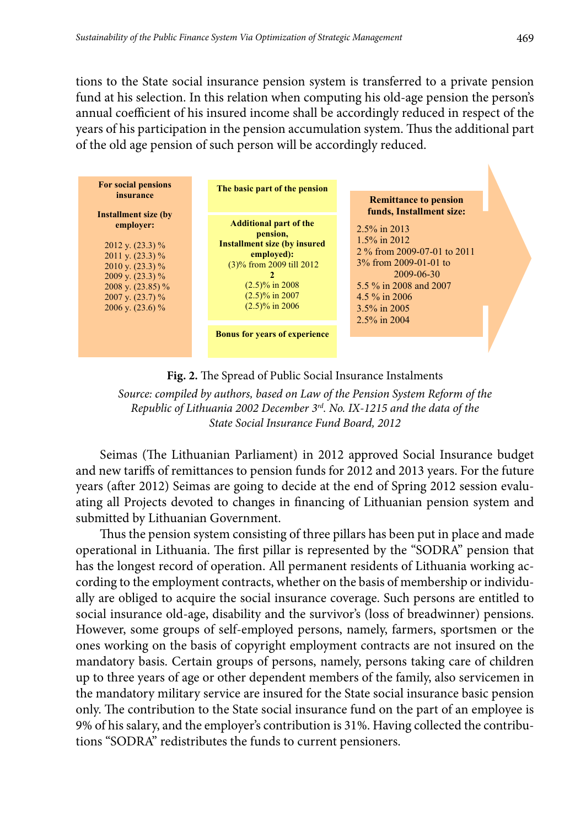tions to the State social insurance pension system is transferred to a private pension fund at his selection. In this relation when computing his old-age pension the person's annual coefficient of his insured income shall be accordingly reduced in respect of the years of his participation in the pension accumulation system. Thus the additional part of the old age pension of such person will be accordingly reduced.



**Fig. 2.** The Spread of Public Social Insurance Instalments

*Source: compiled by authors, based on Law of the Pension System Reform of the Republic of Lithuania 2002 December 3rd. No. IX-1215 and the data of the State Social Insurance Fund Board, 2012*

Seimas (The Lithuanian Parliament) in 2012 approved Social Insurance budget and new tariffs of remittances to pension funds for 2012 and 2013 years. For the future years (after 2012) Seimas are going to decide at the end of Spring 2012 session evaluating all Projects devoted to changes in financing of Lithuanian pension system and submitted by Lithuanian Government.

Thus the pension system consisting of three pillars has been put in place and made operational in Lithuania. The first pillar is represented by the "SODRA" pension that has the longest record of operation. All permanent residents of Lithuania working according to the employment contracts, whether on the basis of membership or individually are obliged to acquire the social insurance coverage. Such persons are entitled to social insurance old-age, disability and the survivor's (loss of breadwinner) pensions. However, some groups of self-employed persons, namely, farmers, sportsmen or the ones working on the basis of copyright employment contracts are not insured on the mandatory basis. Certain groups of persons, namely, persons taking care of children up to three years of age or other dependent members of the family, also servicemen in the mandatory military service are insured for the State social insurance basic pension only. The contribution to the State social insurance fund on the part of an employee is 9% of his salary, and the employer's contribution is 31%. Having collected the contributions "SODRA" redistributes the funds to current pensioners.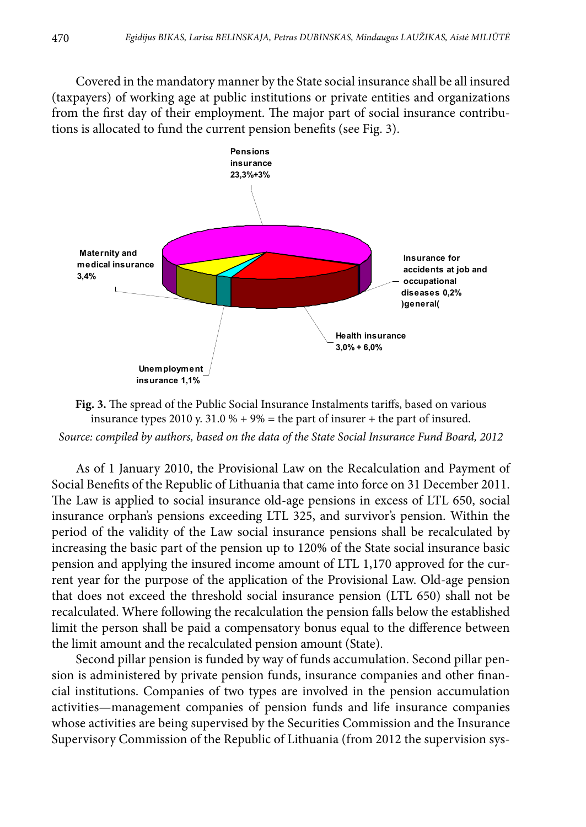Covered in the mandatory manner by the State social insurance shall be all insured (taxpayers) of working age at public institutions or private entities and organizations from the first day of their employment. The major part of social insurance contributions is allocated to fund the current pension benefits (see Fig. 3).



insurance types 2010 y.  $31.0 % + 9% =$  the part of insurer + the part of insured. *Source: compiled by authors, based on the data of the State Social Insurance Fund Board, 2012* **Fig. 3.** The spread of the Public Social Insurance Instalments tariffs, based on various

As of 1 January 2010, the Provisional Law on the Recalculation and Payment of Social Benefits of the Republic of Lithuania that came into force on 31 December 2011. The Law is applied to social insurance old-age pensions in excess of LTL 650, social insurance orphan's pensions exceeding LTL 325, and survivor's pension. Within the period of the validity of the Law social insurance pensions shall be recalculated by increasing the basic part of the pension up to 120% of the State social insurance basic pension and applying the insured income amount of LTL 1,170 approved for the current year for the purpose of the application of the Provisional Law. Old-age pension that does not exceed the threshold social insurance pension (LTL 650) shall not be recalculated. Where following the recalculation the pension falls below the established limit the person shall be paid a compensatory bonus equal to the difference between the limit amount and the recalculated pension amount (State).

Second pillar pension is funded by way of funds accumulation. Second pillar pension is administered by private pension funds, insurance companies and other financial institutions. Companies of two types are involved in the pension accumulation activities—management companies of pension funds and life insurance companies whose activities are being supervised by the Securities Commission and the Insurance Supervisory Commission of the Republic of Lithuania (from 2012 the supervision sys-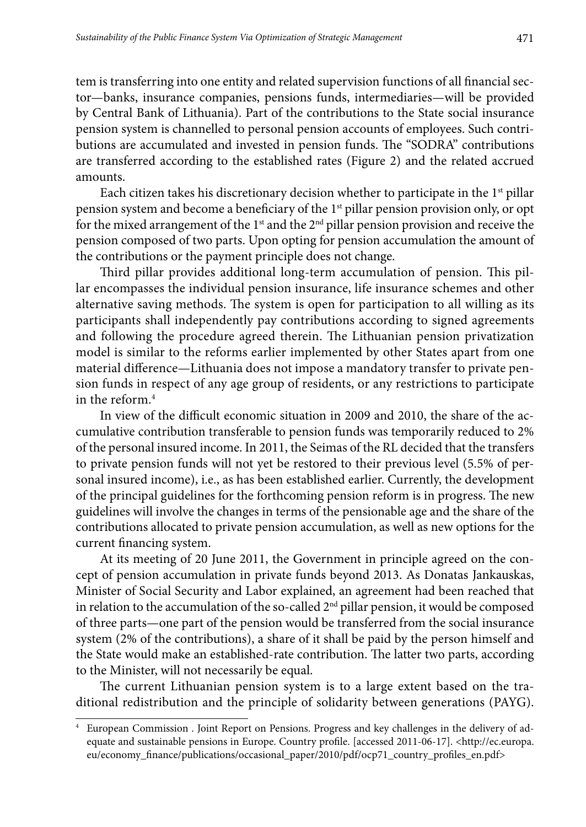tem is transferring into one entity and related supervision functions of all financial sector—banks, insurance companies, pensions funds, intermediaries—will be provided by Central Bank of Lithuania). Part of the contributions to the State social insurance pension system is channelled to personal pension accounts of employees. Such contributions are accumulated and invested in pension funds. The "SODRA" contributions are transferred according to the established rates (Figure 2) and the related accrued amounts.

Each citizen takes his discretionary decision whether to participate in the  $1<sup>st</sup>$  pillar pension system and become a beneficiary of the 1<sup>st</sup> pillar pension provision only, or opt for the mixed arrangement of the  $1<sup>st</sup>$  and the  $2<sup>nd</sup>$  pillar pension provision and receive the pension composed of two parts. Upon opting for pension accumulation the amount of the contributions or the payment principle does not change.

Third pillar provides additional long-term accumulation of pension. This pillar encompasses the individual pension insurance, life insurance schemes and other alternative saving methods. The system is open for participation to all willing as its participants shall independently pay contributions according to signed agreements and following the procedure agreed therein. The Lithuanian pension privatization model is similar to the reforms earlier implemented by other States apart from one material difference—Lithuania does not impose a mandatory transfer to private pension funds in respect of any age group of residents, or any restrictions to participate in the reform.4

In view of the difficult economic situation in 2009 and 2010, the share of the accumulative contribution transferable to pension funds was temporarily reduced to 2% of the personal insured income. In 2011, the Seimas of the RL decided that the transfers to private pension funds will not yet be restored to their previous level (5.5% of personal insured income), i.e., as has been established earlier. Currently, the development of the principal guidelines for the forthcoming pension reform is in progress. The new guidelines will involve the changes in terms of the pensionable age and the share of the contributions allocated to private pension accumulation, as well as new options for the current financing system.

At its meeting of 20 June 2011, the Government in principle agreed on the concept of pension accumulation in private funds beyond 2013. As Donatas Jankauskas, Minister of Social Security and Labor explained, an agreement had been reached that in relation to the accumulation of the so-called  $2<sup>nd</sup>$  pillar pension, it would be composed of three parts—one part of the pension would be transferred from the social insurance system (2% of the contributions), a share of it shall be paid by the person himself and the State would make an established-rate contribution. The latter two parts, according to the Minister, will not necessarily be equal.

The current Lithuanian pension system is to a large extent based on the traditional redistribution and the principle of solidarity between generations (PAYG).

<sup>4</sup> European Commission . Joint Report on Pensions. Progress and key challenges in the delivery of adequate and sustainable pensions in Europe. Country profile. [accessed 2011-06-17]. <[http://ec.europa.](http://ec.europa.eu/economy_finance/publications/occasional_paper/2010/pdf/ocp71_country_profiles_en.pdf) [eu/economy\\_finance/publications/occasional\\_paper/2010/pdf/ocp71\\_country\\_profiles\\_en.pdf>](http://ec.europa.eu/economy_finance/publications/occasional_paper/2010/pdf/ocp71_country_profiles_en.pdf)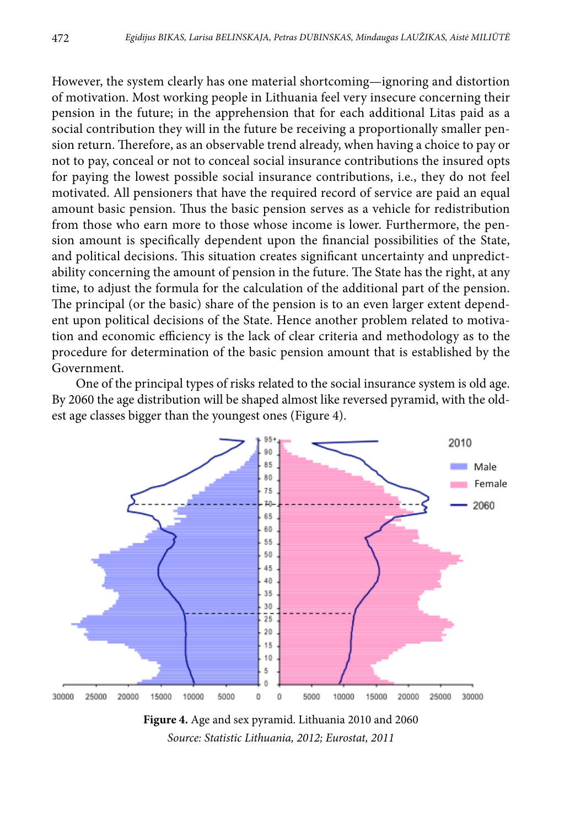However, the system clearly has one material shortcoming—ignoring and distortion of motivation. Most working people in Lithuania feel very insecure concerning their pension in the future; in the apprehension that for each additional Litas paid as a social contribution they will in the future be receiving a proportionally smaller pension return. Therefore, as an observable trend already, when having a choice to pay or not to pay, conceal or not to conceal social insurance contributions the insured opts for paying the lowest possible social insurance contributions, i.e., they do not feel motivated. All pensioners that have the required record of service are paid an equal amount basic pension. Thus the basic pension serves as a vehicle for redistribution from those who earn more to those whose income is lower. Furthermore, the pension amount is specifically dependent upon the financial possibilities of the State, and political decisions. This situation creates significant uncertainty and unpredictability concerning the amount of pension in the future. The State has the right, at any time, to adjust the formula for the calculation of the additional part of the pension. The principal (or the basic) share of the pension is to an even larger extent dependent upon political decisions of the State. Hence another problem related to motivation and economic efficiency is the lack of clear criteria and methodology as to the procedure for determination of the basic pension amount that is established by the Government.

One of the principal types of risks related to the social insurance system is old age. By 2060 the age distribution will be shaped almost like reversed pyramid, with the oldest age classes bigger than the youngest ones (Figure 4).



 *Source: Statistic Lithuania, 2012; Eurostat, 2011***Figure 4.** Age and sex pyramid. Lithuania 2010 and 2060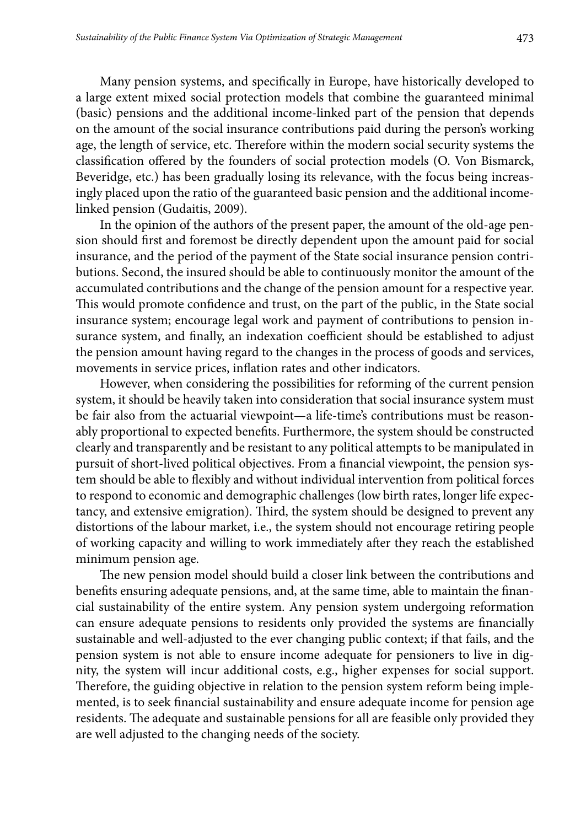Many pension systems, and specifically in Europe, have historically developed to a large extent mixed social protection models that combine the guaranteed minimal (basic) pensions and the additional income-linked part of the pension that depends on the amount of the social insurance contributions paid during the person's working age, the length of service, etc. Therefore within the modern social security systems the classification offered by the founders of social protection models (O. Von Bismarck, Beveridge, etc.) has been gradually losing its relevance, with the focus being increasingly placed upon the ratio of the guaranteed basic pension and the additional incomelinked pension (Gudaitis, 2009).

In the opinion of the authors of the present paper, the amount of the old-age pension should first and foremost be directly dependent upon the amount paid for social insurance, and the period of the payment of the State social insurance pension contributions. Second, the insured should be able to continuously monitor the amount of the accumulated contributions and the change of the pension amount for a respective year. This would promote confidence and trust, on the part of the public, in the State social insurance system; encourage legal work and payment of contributions to pension insurance system, and finally, an indexation coefficient should be established to adjust the pension amount having regard to the changes in the process of goods and services, movements in service prices, inflation rates and other indicators.

However, when considering the possibilities for reforming of the current pension system, it should be heavily taken into consideration that social insurance system must be fair also from the actuarial viewpoint—a life-time's contributions must be reasonably proportional to expected benefits. Furthermore, the system should be constructed clearly and transparently and be resistant to any political attempts to be manipulated in pursuit of short-lived political objectives. From a financial viewpoint, the pension system should be able to flexibly and without individual intervention from political forces to respond to economic and demographic challenges (low birth rates, longer life expectancy, and extensive emigration). Third, the system should be designed to prevent any distortions of the labour market, i.e., the system should not encourage retiring people of working capacity and willing to work immediately after they reach the established minimum pension age.

The new pension model should build a closer link between the contributions and benefits ensuring adequate pensions, and, at the same time, able to maintain the financial sustainability of the entire system. Any pension system undergoing reformation can ensure adequate pensions to residents only provided the systems are financially sustainable and well-adjusted to the ever changing public context; if that fails, and the pension system is not able to ensure income adequate for pensioners to live in dignity, the system will incur additional costs, e.g., higher expenses for social support. Therefore, the guiding objective in relation to the pension system reform being implemented, is to seek financial sustainability and ensure adequate income for pension age residents. The adequate and sustainable pensions for all are feasible only provided they are well adjusted to the changing needs of the society.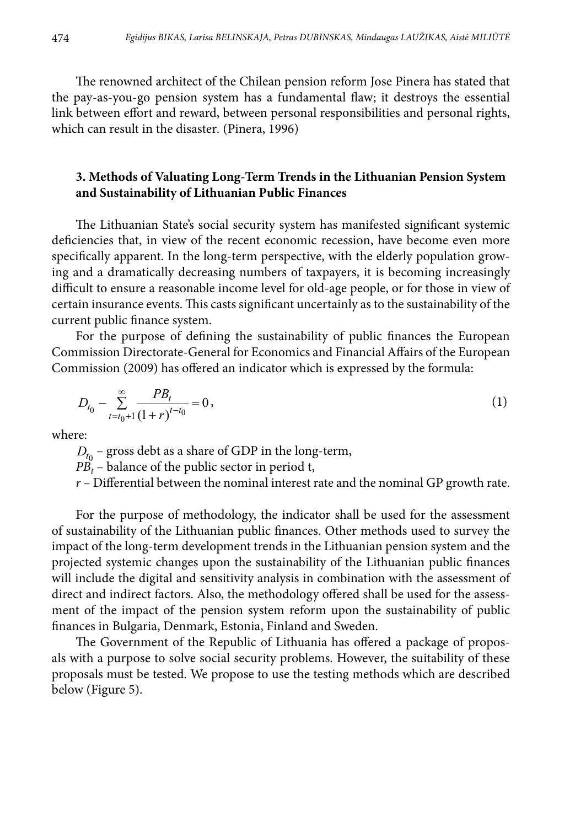The renowned architect of the Chilean pension reform Jose Pinera has stated that the pay-as-you-go pension system has a fundamental flaw; it destroys the essential link between effort and reward, between personal responsibilities and personal rights, which can result in the disaster*.* (Pinera, 1996)

### **3. Methods of Valuating Long-Term Trends in the Lithuanian Pension System and Sustainability of Lithuanian Public Finances**

The Lithuanian State's social security system has manifested significant systemic deficiencies that, in view of the recent economic recession, have become even more specifically apparent. In the long-term perspective, with the elderly population growing and a dramatically decreasing numbers of taxpayers, it is becoming increasingly difficult to ensure a reasonable income level for old-age people, or for those in view of certain insurance events. This casts significant uncertainly as to the sustainability of the current public finance system.

For the purpose of defining the sustainability of public finances the European Commission Directorate-General for Economics and Financial Affairs of the European Commission (2009) has offered an indicator which is expressed by the formula:

$$
D_{t_0} - \sum_{t=t_0+1}^{\infty} \frac{PB_t}{(1+r)^{t-t_0}} = 0,
$$
\n(1)

where:

 $D_{t_0}$  – gross debt as a share of GDP in the long-term,

 $PB'_{t}$  – balance of the public sector in period t,

*r* – Differential between the nominal interest rate and the nominal GP growth rate.

For the purpose of methodology, the indicator shall be used for the assessment of sustainability of the Lithuanian public finances. Other methods used to survey the impact of the long-term development trends in the Lithuanian pension system and the projected systemic changes upon the sustainability of the Lithuanian public finances will include the digital and sensitivity analysis in combination with the assessment of direct and indirect factors. Also, the methodology offered shall be used for the assessment of the impact of the pension system reform upon the sustainability of public finances in Bulgaria, Denmark, Estonia, Finland and Sweden.

The Government of the Republic of Lithuania has offered a package of proposals with a purpose to solve social security problems. However, the suitability of these proposals must be tested. We propose to use the testing methods which are described below (Figure 5).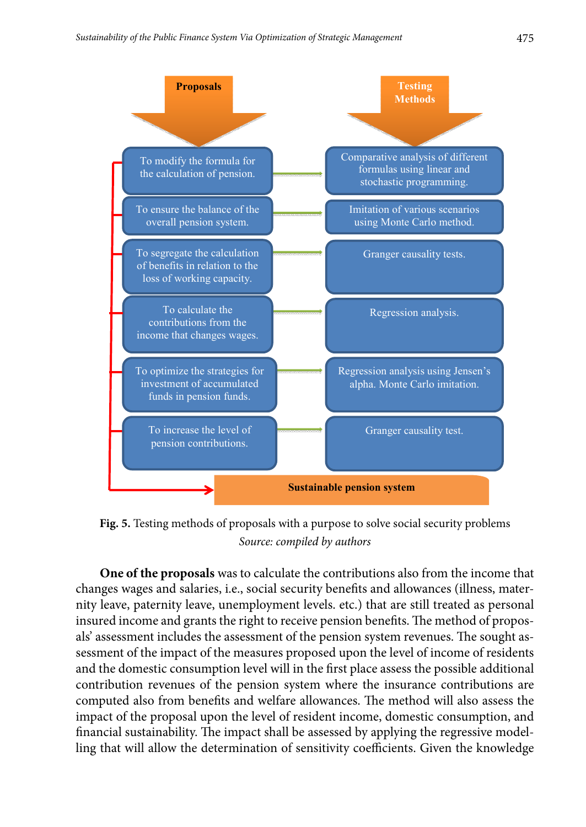

 *Source: compiled by authors* **Fig. 5.** Testing methods of proposals with a purpose to solve social security problems

**One of the proposals** was to calculate the contributions also from the income that changes wages and salaries, i.e., social security benefits and allowances (illness, maternity leave, paternity leave, unemployment levels. etc.) that are still treated as personal insured income and grants the right to receive pension benefits. The method of proposals' assessment includes the assessment of the pension system revenues. The sought assessment of the impact of the measures proposed upon the level of income of residents and the domestic consumption level will in the first place assess the possible additional contribution revenues of the pension system where the insurance contributions are computed also from benefits and welfare allowances. The method will also assess the impact of the proposal upon the level of resident income, domestic consumption, and financial sustainability. The impact shall be assessed by applying the regressive modelling that will allow the determination of sensitivity coefficients. Given the knowledge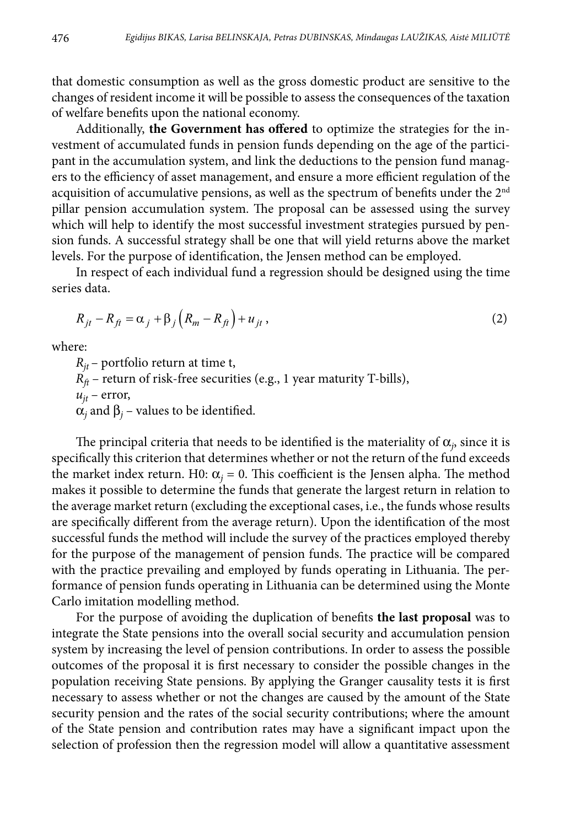that domestic consumption as well as the gross domestic product are sensitive to the changes of resident income it will be possible to assess the consequences of the taxation of welfare benefits upon the national economy.

Additionally, **the Government has offered** to optimize the strategies for the investment of accumulated funds in pension funds depending on the age of the participant in the accumulation system, and link the deductions to the pension fund managers to the efficiency of asset management, and ensure a more efficient regulation of the acquisition of accumulative pensions, as well as the spectrum of benefits under the 2nd pillar pension accumulation system. The proposal can be assessed using the survey which will help to identify the most successful investment strategies pursued by pension funds. A successful strategy shall be one that will yield returns above the market levels. For the purpose of identification, the Jensen method can be employed.

In respect of each individual fund a regression should be designed using the time series data.

$$
R_{jt} - R_{ft} = \alpha_j + \beta_j \left( R_m - R_{ft} \right) + u_{jt} , \qquad (2)
$$

where:

 $R_{it}$  – portfolio return at time t,  $R_f$  – return of risk-free securities (e.g., 1 year maturity T-bills),  $u_{it}$  – error,  $\alpha_j$  and  $\beta_j$  – values to be identified.

The principal criteria that needs to be identified is the materiality of  $\alpha_j$ , since it is specifically this criterion that determines whether or not the return of the fund exceeds the market index return. H0:  $\alpha_j = 0$ . This coefficient is the Jensen alpha. The method makes it possible to determine the funds that generate the largest return in relation to the average market return (excluding the exceptional cases, i.e., the funds whose results are specifically different from the average return). Upon the identification of the most successful funds the method will include the survey of the practices employed thereby for the purpose of the management of pension funds. The practice will be compared with the practice prevailing and employed by funds operating in Lithuania. The performance of pension funds operating in Lithuania can be determined using the Monte Carlo imitation modelling method.

For the purpose of avoiding the duplication of benefits **the last proposal** was to integrate the State pensions into the overall social security and accumulation pension system by increasing the level of pension contributions. In order to assess the possible outcomes of the proposal it is first necessary to consider the possible changes in the population receiving State pensions. By applying the Granger causality tests it is first necessary to assess whether or not the changes are caused by the amount of the State security pension and the rates of the social security contributions; where the amount of the State pension and contribution rates may have a significant impact upon the selection of profession then the regression model will allow a quantitative assessment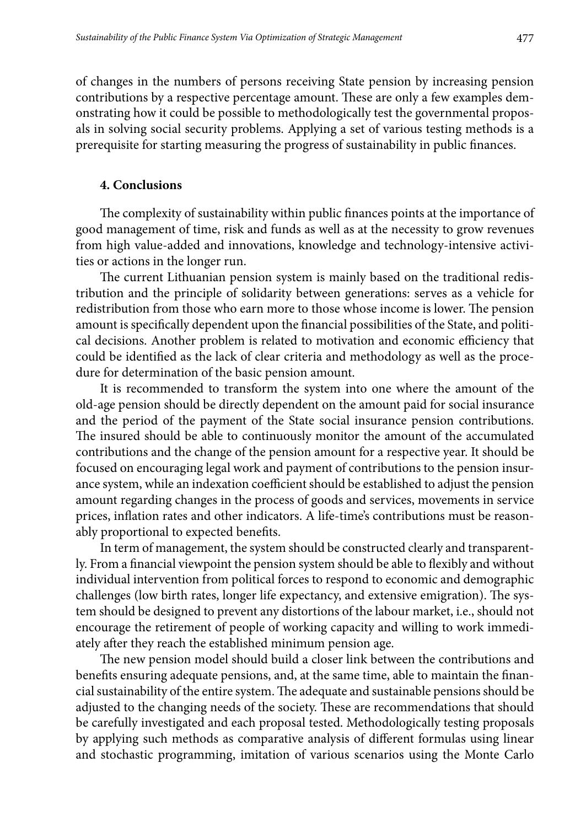of changes in the numbers of persons receiving State pension by increasing pension contributions by a respective percentage amount. These are only a few examples demonstrating how it could be possible to methodologically test the governmental proposals in solving social security problems. Applying a set of various testing methods is a prerequisite for starting measuring the progress of sustainability in public finances.

#### **4. Conclusions**

The complexity of sustainability within public finances points at the importance of good management of time, risk and funds as well as at the necessity to grow revenues from high value-added and innovations, knowledge and technology-intensive activities or actions in the longer run.

The current Lithuanian pension system is mainly based on the traditional redistribution and the principle of solidarity between generations: serves as a vehicle for redistribution from those who earn more to those whose income is lower. The pension amount is specifically dependent upon the financial possibilities of the State, and political decisions. Another problem is related to motivation and economic efficiency that could be identified as the lack of clear criteria and methodology as well as the procedure for determination of the basic pension amount.

It is recommended to transform the system into one where the amount of the old-age pension should be directly dependent on the amount paid for social insurance and the period of the payment of the State social insurance pension contributions. The insured should be able to continuously monitor the amount of the accumulated contributions and the change of the pension amount for a respective year. It should be focused on encouraging legal work and payment of contributions to the pension insurance system, while an indexation coefficient should be established to adjust the pension amount regarding changes in the process of goods and services, movements in service prices, inflation rates and other indicators. A life-time's contributions must be reasonably proportional to expected benefits.

In term of management, the system should be constructed clearly and transparently. From a financial viewpoint the pension system should be able to flexibly and without individual intervention from political forces to respond to economic and demographic challenges (low birth rates, longer life expectancy, and extensive emigration). The system should be designed to prevent any distortions of the labour market, i.e., should not encourage the retirement of people of working capacity and willing to work immediately after they reach the established minimum pension age.

The new pension model should build a closer link between the contributions and benefits ensuring adequate pensions, and, at the same time, able to maintain the financial sustainability of the entire system. The adequate and sustainable pensions should be adjusted to the changing needs of the society. These are recommendations that should be carefully investigated and each proposal tested. Methodologically testing proposals by applying such methods as comparative analysis of different formulas using linear and stochastic programming, imitation of various scenarios using the Monte Carlo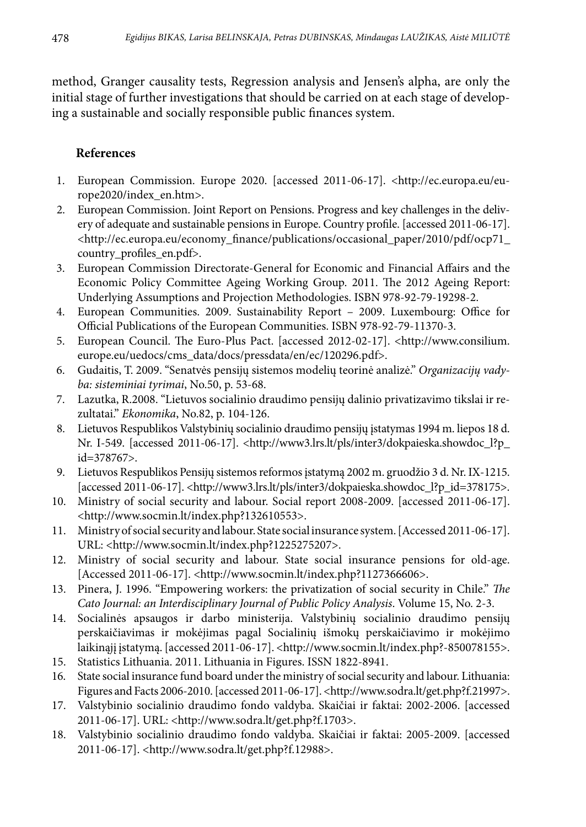method, Granger causality tests, Regression analysis and Jensen's alpha, are only the initial stage of further investigations that should be carried on at each stage of developing a sustainable and socially responsible public finances system.

## **References**

- 1. European Commission. Europe 2020. [accessed 2011-06-17]. <http://ec.europa.eu/europe2020/index\_en.htm>.
- 2. European Commission. Joint Report on Pensions. Progress and key challenges in the delivery of adequate and sustainable pensions in Europe. Country profile. [accessed 2011-06-17]. [<http://ec.europa.eu/economy\\_finance/publications/occasional\\_paper/2010/pdf/ocp71\\_](http://ec.europa.eu/economy_finance/publications/occasional_paper/2010/pdf/ocp71_country_profiles_en.pdf) country profiles en.pdf>.
- 3. European Commission Directorate-General for Economic and Financial Affairs and the Economic Policy Committee Ageing Working Group. 2011. The 2012 Ageing Report: Underlying Assumptions and Projection Methodologies. ISBN 978-92-79-19298-2.
- 4. European Communities. 2009. Sustainability Report 2009. Luxembourg: Office for Official Publications of the European Communities. ISBN 978-92-79-11370-3.
- 5. European Council. The Euro-Plus Pact. [accessed 2012-02-17]. <http://www.consilium. europe.eu/uedocs/cms\_data/docs/pressdata/en/ec/120296.pdf>.
- 6. Gudaitis, T. 2009. "Senatvės pensijų sistemos modelių teorinė analizė." *Organizacijų vadyba: sisteminiai tyrimai*, No.50, p. 53-68.
- 7. Lazutka, R.2008. "Lietuvos socialinio draudimo pensijų dalinio privatizavimo tikslai ir rezultatai." *Ekonomika*, No.82, p. 104-126.
- 8. Lietuvos Respublikos Valstybinių socialinio draudimo pensijų įstatymas 1994 m. liepos 18 d. Nr. I-549. [accessed 2011-06-17]. [<http://www3.lrs.lt/pls/inter3/dokpaieska.showdoc\\_l?p\\_](http://www3.lrs.lt/pls/inter3/dokpaieska.showdoc_l?p_id=378767) [id=378767](http://www3.lrs.lt/pls/inter3/dokpaieska.showdoc_l?p_id=378767)>.
- 9. Lietuvos Respublikos Pensijų sistemos reformos įstatymą 2002 m. gruodžio 3 d. Nr. IX-1215. [accessed 2011-06-17]. <http://www3.lrs.lt/pls/inter3/dokpaieska.showdoc\_l?p\_id=378175>.
- 10. Ministry of social security and labour. Social report 2008-2009. [accessed 2011-06-17]. <http://www.socmin.lt/index.php?132610553>.
- 11. Ministry of social security and labour. State social insurance system. [Accessed 2011-06-17]. URL: <http://www.socmin.lt/index.php?1225275207>.
- 12. Ministry of social security and labour. State social insurance pensions for old-age. [Accessed 2011-06-17]. <http://www.socmin.lt/index.php?1127366606>.
- 13. Pinera, J. 1996. "Empowering workers: the privatization of social security in Chile." *The Cato Journal: an Interdisciplinary Journal of Public Policy Analysis*. Volume 15, No. 2-3.
- 14. Socialinės apsaugos ir darbo ministerija. Valstybinių socialinio draudimo pensijų perskaičiavimas ir mokėjimas pagal Socialinių išmokų perskaičiavimo ir mokėjimo laikinąjį įstatymą. [accessed 2011-06-17]. <http://www.socmin.lt/index.php?-850078155>.
- 15. Statistics Lithuania. 2011. Lithuania in Figures. ISSN 1822-8941.
- 16. State social insurance fund board under the ministry of social security and labour. Lithuania: Figures and Facts 2006-2010. [accessed 2011-06-17]. <http://www.sodra.lt/get.php?f.21997>.
- 17. Valstybinio socialinio draudimo fondo valdyba. Skaičiai ir faktai: 2002-2006. [accessed 2011-06-17]. URL: [<http://www.sodra.lt/get.php?f.1703](http://www.sodra.lt/get.php?f.1703)>.
- 18. Valstybinio socialinio draudimo fondo valdyba. Skaičiai ir faktai: 2005-2009. [accessed 2011-06-17]. <<http://www.sodra.lt/get.php?f.12988>>.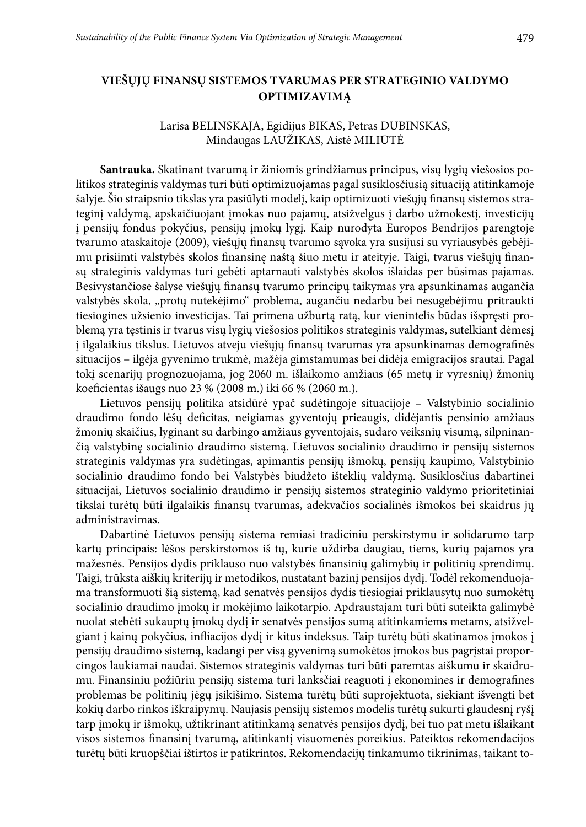### **VIEŠŲJŲ FINANSŲ SISTEMOS TVARUMAS PER STRATEGINIO VALDYMO OPTIMIZAVIMĄ**

#### Larisa Belinskaja, Egidijus Bikas, Petras Dubinskas, Mindaugas LAUŽIKAS, Aistė MILIŪTĖ

**Santrauka.** Skatinant tvarumą ir žiniomis grindžiamus principus, visų lygių viešosios politikos strateginis valdymas turi būti optimizuojamas pagal susiklosčiusią situaciją atitinkamoje šalyje. Šio straipsnio tikslas yra pasiūlyti modelį, kaip optimizuoti viešųjų finansų sistemos strateginį valdymą, apskaičiuojant įmokas nuo pajamų, atsižvelgus į darbo užmokestį, investicijų į pensijų fondus pokyčius, pensijų įmokų lygį. Kaip nurodyta Europos Bendrijos parengtoje tvarumo ataskaitoje (2009), viešųjų finansų tvarumo sąvoka yra susijusi su vyriausybės gebėjimu prisiimti valstybės skolos finansinę naštą šiuo metu ir ateityje. Taigi, tvarus viešųjų finansų strateginis valdymas turi gebėti aptarnauti valstybės skolos išlaidas per būsimas pajamas. Besivystančiose šalyse viešųjų finansų tvarumo principų taikymas yra apsunkinamas augančia valstybės skola, "protų nutekėjimo" problema, augančiu nedarbu bei nesugebėjimu pritraukti tiesiogines užsienio investicijas. Tai primena užburtą ratą, kur vienintelis būdas išspręsti problemą yra tęstinis ir tvarus visų lygių viešosios politikos strateginis valdymas, sutelkiant dėmesį į ilgalaikius tikslus. Lietuvos atveju viešųjų finansų tvarumas yra apsunkinamas demografinės situacijos – ilgėja gyvenimo trukmė, mažėja gimstamumas bei didėja emigracijos srautai. Pagal tokį scenarijų prognozuojama, jog 2060 m. išlaikomo amžiaus (65 metų ir vyresnių) žmonių koeficientas išaugs nuo 23 % (2008 m.) iki 66 % (2060 m.).

Lietuvos pensijų politika atsidūrė ypač sudėtingoje situacijoje – Valstybinio socialinio draudimo fondo lėšų deficitas, neigiamas gyventojų prieaugis, didėjantis pensinio amžiaus žmonių skaičius, lyginant su darbingo amžiaus gyventojais, sudaro veiksnių visumą, silpninančią valstybinę socialinio draudimo sistemą. Lietuvos socialinio draudimo ir pensijų sistemos strateginis valdymas yra sudėtingas, apimantis pensijų išmokų, pensijų kaupimo, Valstybinio socialinio draudimo fondo bei Valstybės biudžeto išteklių valdymą. Susiklosčius dabartinei situacijai, Lietuvos socialinio draudimo ir pensijų sistemos strateginio valdymo prioritetiniai tikslai turėtų būti ilgalaikis finansų tvarumas, adekvačios socialinės išmokos bei skaidrus jų administravimas.

Dabartinė Lietuvos pensijų sistema remiasi tradiciniu perskirstymu ir solidarumo tarp kartų principais: lėšos perskirstomos iš tų, kurie uždirba daugiau, tiems, kurių pajamos yra mažesnės. Pensijos dydis priklauso nuo valstybės finansinių galimybių ir politinių sprendimų. Taigi, trūksta aiškių kriterijų ir metodikos, nustatant bazinį pensijos dydį. Todėl rekomenduojama transformuoti šią sistemą, kad senatvės pensijos dydis tiesiogiai priklausytų nuo sumokėtų socialinio draudimo įmokų ir mokėjimo laikotarpio. Apdraustajam turi būti suteikta galimybė nuolat stebėti sukauptų įmokų dydį ir senatvės pensijos sumą atitinkamiems metams, atsižvelgiant į kainų pokyčius, infliacijos dydį ir kitus indeksus. Taip turėtų būti skatinamos įmokos į pensijų draudimo sistemą, kadangi per visą gyvenimą sumokėtos įmokos bus pagrįstai proporcingos laukiamai naudai. Sistemos strateginis valdymas turi būti paremtas aiškumu ir skaidrumu. Finansiniu požiūriu pensijų sistema turi lanksčiai reaguoti į ekonomines ir demografines problemas be politinių jėgų įsikišimo. Sistema turėtų būti suprojektuota, siekiant išvengti bet kokių darbo rinkos iškraipymų. Naujasis pensijų sistemos modelis turėtų sukurti glaudesnį ryšį tarp įmokų ir išmokų, užtikrinant atitinkamą senatvės pensijos dydį, bei tuo pat metu išlaikant visos sistemos finansinį tvarumą, atitinkantį visuomenės poreikius. Pateiktos rekomendacijos turėtų būti kruopščiai ištirtos ir patikrintos. Rekomendacijų tinkamumo tikrinimas, taikant to